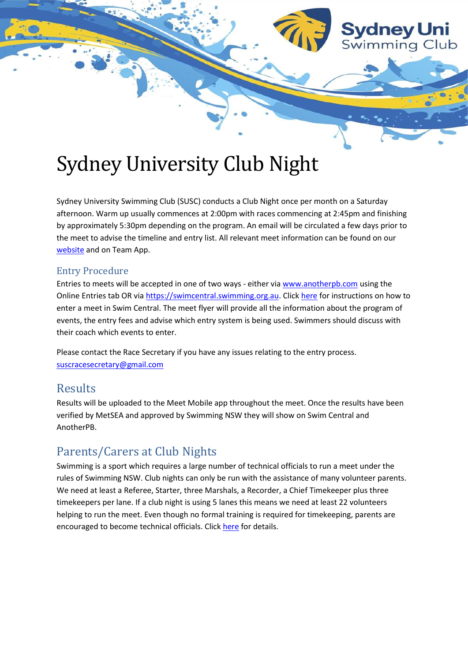

# Sydney University Club Night

Sydney University Swimming Club (SUSC) conducts a Club Night once per month on a Saturday afternoon. Warm up usually commences at 2:00pm with races commencing at 2:45pm and finishing by approximately 5:30pm depending on the program. An email will be circulated a few days prior to the meet to advise the timeline and entry list. All relevant meet information can be found on our [website](https://www.sydneyuniswimmingclub.com/) and on Team App.

## Entry Procedure

Entries to meets will be accepted in one of two ways - either vi[a www.anotherpb.com](http://www.anotherpb.com/) using the Online Entries tab OR vi[a https://swimcentral.swimming.org.au.](https://swimcentral.swimming.org.au/) Click [here](https://nsw.swimming.org.au/sites/default/files/assets/documents/How%20a%20swimmer%20enters%20a%20meet%20online_4.pdf) for instructions on how to enter a meet in Swim Central. The meet flyer will provide all the information about the program of events, the entry fees and advise which entry system is being used. Swimmers should discuss with their coach which events to enter.

Please contact the Race Secretary if you have any issues relating to the entry process. [suscracesecretary@gmail.com](mailto:suscracesecretary@gmail.com)

## Results

Results will be uploaded to the Meet Mobile app throughout the meet. Once the results have been verified by MetSEA and approved by Swimming NSW they will show on Swim Central and AnotherPB.

## Parents/Carers at Club Nights

Swimming is a sport which requires a large number of technical officials to run a meet under the rules of Swimming NSW. Club nights can only be run with the assistance of many volunteer parents. We need at least a Referee, Starter, three Marshals, a Recorder, a Chief Timekeeper plus three timekeepers per lane. If a club night is using 5 lanes this means we need at least 22 volunteers helping to run the meet. Even though no formal training is required for timekeeping, parents are encouraged to become technical officials. Clic[k here](https://nsw.swimming.org.au/technical-officials-nsw/join) for details.